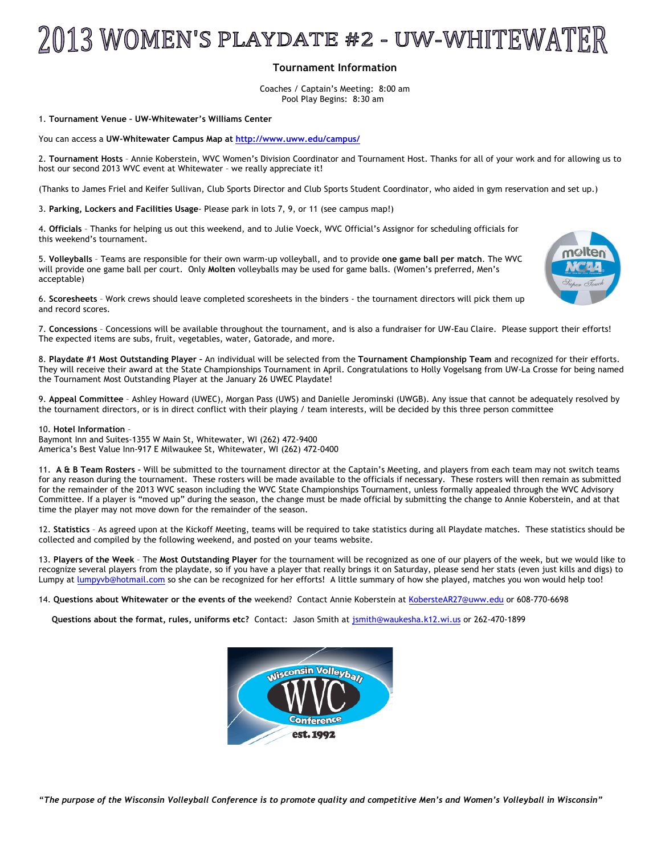# 2013 WOMEN'S PLAYDATE #2 - uw-whiteWATER

## **Tournament Information**

Coaches / Captain's Meeting: 8:00 am Pool Play Begins: 8:30 am

#### 1. **Tournament Venue – UW-Whitewater's Williams Center**

You can access a **UW-Whitewater Campus Map at http://www.uww.edu/campus/**

2. **Tournament Hosts** – Annie Koberstein, WVC Women's Division Coordinator and Tournament Host. Thanks for all of your work and for allowing us to host our second 2013 WVC event at Whitewater – we really appreciate it!

(Thanks to James Friel and Keifer Sullivan, Club Sports Director and Club Sports Student Coordinator, who aided in gym reservation and set up.)

3. **Parking, Lockers and Facilities Usage**- Please park in lots 7, 9, or 11 (see campus map!)

4. **Officials** – Thanks for helping us out this weekend, and to Julie Voeck, WVC Official's Assignor for scheduling officials for this weekend's tournament.

5. **Volleyballs** – Teams are responsible for their own warm-up volleyball, and to provide **one game ball per match**. The WVC will provide one game ball per court. Only **Molten** volleyballs may be used for game balls. (Women's preferred, Men's acceptable)



7. **Concessions** – Concessions will be available throughout the tournament, and is also a fundraiser for UW-Eau Claire. Please support their efforts! The expected items are subs, fruit, vegetables, water, Gatorade, and more.

8. **Playdate #1 Most Outstanding Player –** An individual will be selected from the **Tournament Championship Team** and recognized for their efforts. They will receive their award at the State Championships Tournament in April. Congratulations to Holly Vogelsang from UW-La Crosse for being named the Tournament Most Outstanding Player at the January 26 UWEC Playdate!

9. **Appeal Committee** – Ashley Howard (UWEC), Morgan Pass (UWS) and Danielle Jerominski (UWGB). Any issue that cannot be adequately resolved by the tournament directors, or is in direct conflict with their playing / team interests, will be decided by this three person committee

#### 10. **Hotel Information** –

Baymont Inn and Suites-1355 W Main St, Whitewater, WI (262) 472-9400 America's Best Value Inn-917 E Milwaukee St, Whitewater, WI (262) 472-0400

11. **A & B Team Rosters –** Will be submitted to the tournament director at the Captain's Meeting, and players from each team may not switch teams for any reason during the tournament. These rosters will be made available to the officials if necessary. These rosters will then remain as submitted for the remainder of the 2013 WVC season including the WVC State Championships Tournament, unless formally appealed through the WVC Advisory Committee. If a player is "moved up" during the season, the change must be made official by submitting the change to Annie Koberstein, and at that time the player may not move down for the remainder of the season.

12. **Statistics** – As agreed upon at the Kickoff Meeting, teams will be required to take statistics during all Playdate matches. These statistics should be collected and compiled by the following weekend, and posted on your teams website.

13. **Players of the Week** – The **Most Outstanding Player** for the tournament will be recognized as one of our players of the week, but we would like to recognize several players from the playdate, so if you have a player that really brings it on Saturday, please send her stats (even just kills and digs) to Lumpy at lumpyvb@hotmail.com so she can be recognized for her efforts! A little summary of how she played, matches you won would help too!

14. **Questions about Whitewater or the events of the** weekend? Contact Annie Koberstein at KobersteAR27@uww.edu or 608-770-6698

**Questions about the format, rules, uniforms etc?** Contact: Jason Smith at jsmith@waukesha.k12.wi.us or 262-470-1899